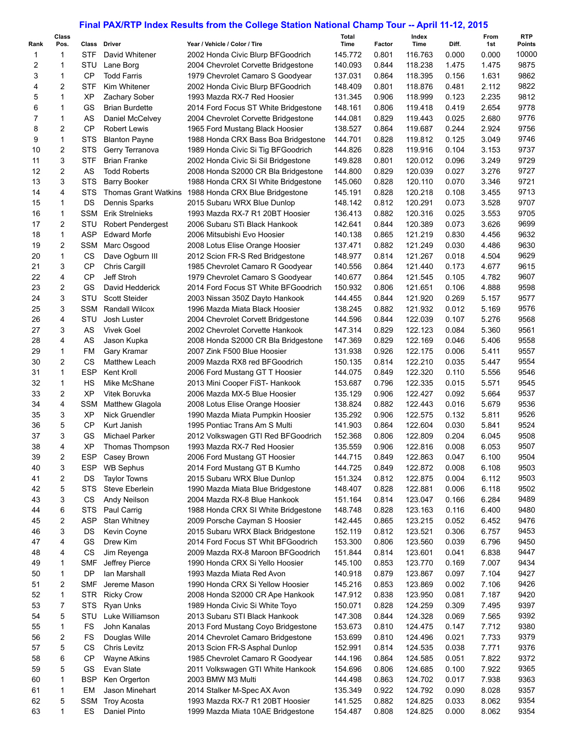## **Final PAX/RTP Index Results from the College Station National Champ Tour -- April 11-12, 2015**

|                | Class            |                 | Class Driver                             |                                                                    | <b>Total</b>       |                 | Index              |                | From           | <b>RTP</b>             |
|----------------|------------------|-----------------|------------------------------------------|--------------------------------------------------------------------|--------------------|-----------------|--------------------|----------------|----------------|------------------------|
| Rank<br>1      | Pos.<br>1        | STF             | David Whitener                           | Year / Vehicle / Color / Tire<br>2002 Honda Civic Blurp BFGoodrich | Time<br>145.772    | Factor<br>0.801 | Time<br>116.763    | Diff.<br>0.000 | 1st<br>0.000   | <b>Points</b><br>10000 |
| 2              | 1                | STU             | Lane Borg                                | 2004 Chevrolet Corvette Bridgestone                                | 140.093            | 0.844           | 118.238            | 1.475          | 1.475          | 9875                   |
| 3              | 1                | CP              | <b>Todd Farris</b>                       | 1979 Chevrolet Camaro S Goodyear                                   | 137.031            | 0.864           | 118.395            | 0.156          | 1.631          | 9862                   |
| 4              | 2                | STF             | Kim Whitener                             | 2002 Honda Civic Blurp BFGoodrich                                  | 148.409            | 0.801           | 118.876            | 0.481          | 2.112          | 9822                   |
| 5              | 1                | <b>XP</b>       | Zachary Sober                            | 1993 Mazda RX-7 Red Hoosier                                        | 131.345            | 0.906           | 118.999            | 0.123          | 2.235          | 9812                   |
| 6              | 1                | GS              | <b>Brian Burdette</b>                    | 2014 Ford Focus ST White Bridgestone                               | 148.161            | 0.806           | 119.418            | 0.419          | 2.654          | 9778                   |
| $\overline{7}$ | 1                | AS              | Daniel McCelvey                          | 2004 Chevrolet Corvette Bridgestone                                | 144.081            | 0.829           | 119.443            | 0.025          | 2.680          | 9776                   |
| 8              | $\overline{2}$   | CP              | <b>Robert Lewis</b>                      | 1965 Ford Mustang Black Hoosier                                    | 138.527            | 0.864           | 119.687            | 0.244          | 2.924          | 9756                   |
| 9              | 1                | <b>STS</b>      | <b>Blanton Payne</b>                     | 1988 Honda CRX Bass Boa Bridgestone                                | 144.701            | 0.828           | 119.812            | 0.125          | 3.049          | 9746                   |
| 10             | $\overline{2}$   | <b>STS</b>      | Gerry Terranova                          | 1989 Honda Civic Si Tig BFGoodrich                                 | 144.826            | 0.828           | 119.916            | 0.104          | 3.153          | 9737                   |
| 11             | 3                | STF             | <b>Brian Franke</b>                      | 2002 Honda Civic Si Sil Bridgestone                                | 149.828            | 0.801           | 120.012            | 0.096          | 3.249          | 9729                   |
| 12             | $\overline{2}$   | AS              | <b>Todd Roberts</b>                      | 2008 Honda S2000 CR Bla Bridgestone                                | 144.800            | 0.829           | 120.039            | 0.027          | 3.276          | 9727                   |
| 13             | 3                | <b>STS</b>      | Barry Booker                             | 1988 Honda CRX SI White Bridgestone                                | 145.060            | 0.828           | 120.110            | 0.070          | 3.346          | 9721                   |
| 14             | 4                | <b>STS</b>      |                                          | Thomas Grant Watkins 1988 Honda CRX Blue Bridgestone               | 145.191            | 0.828           | 120.218            | 0.108          | 3.455          | 9713                   |
| 15             | 1                | DS              | Dennis Sparks                            | 2015 Subaru WRX Blue Dunlop                                        | 148.142            | 0.812           | 120.291            | 0.073          | 3.528          | 9707                   |
| 16             | $\mathbf{1}$     | SSM             | <b>Erik Strelnieks</b>                   | 1993 Mazda RX-7 R1 20BT Hoosier                                    | 136.413            | 0.882           | 120.316            | 0.025          | 3.553          | 9705                   |
| 17             | $\overline{2}$   | STU             | <b>Robert Pendergest</b>                 | 2006 Subaru STi Black Hankook                                      | 142.641            | 0.844           | 120.389            | 0.073          | 3.626          | 9699                   |
| 18             | $\mathbf{1}$     | <b>ASP</b>      | <b>Edward Morfe</b>                      | 2006 Mitsubishi Evo Hoosier                                        | 140.138            | 0.865           | 121.219            | 0.830          | 4.456          | 9632                   |
| 19             | 2                | SSM             | Marc Osgood                              | 2008 Lotus Elise Orange Hoosier                                    | 137.471            | 0.882           | 121.249            | 0.030          | 4.486          | 9630                   |
| 20             | 1                | CS              | Dave Ogburn III                          | 2012 Scion FR-S Red Bridgestone                                    | 148.977            | 0.814           | 121.267            | 0.018          | 4.504          | 9629                   |
| 21             | 3                | <b>CP</b>       | <b>Chris Cargill</b>                     | 1985 Chevrolet Camaro R Goodyear                                   | 140.556            | 0.864           | 121.440            | 0.173          | 4.677          | 9615                   |
| 22             | 4                | <b>CP</b>       | Jeff Stroh                               | 1979 Chevrolet Camaro S Goodyear                                   | 140.677            | 0.864           | 121.545            | 0.105          | 4.782          | 9607                   |
| 23             | $\overline{2}$   | GS              | David Hedderick                          | 2014 Ford Focus ST White BFGoodrich                                | 150.932            | 0.806           | 121.651            | 0.106          | 4.888          | 9598                   |
| 24             | 3                | STU             | <b>Scott Steider</b>                     | 2003 Nissan 350Z Dayto Hankook                                     | 144.455            | 0.844           | 121.920            | 0.269          | 5.157          | 9577                   |
| 25             | 3                | <b>SSM</b>      | <b>Randall Wilcox</b>                    | 1996 Mazda Miata Black Hoosier                                     | 138.245            | 0.882           | 121.932            | 0.012          | 5.169          | 9576                   |
| 26             | 4                | STU             | Josh Luster                              | 2004 Chevrolet Corvett Bridgestone                                 | 144.596            | 0.844           | 122.039            | 0.107          | 5.276          | 9568                   |
| 27             | 3                | AS              | <b>Vivek Goel</b>                        | 2002 Chevrolet Corvette Hankook                                    | 147.314            | 0.829           | 122.123            | 0.084          | 5.360          | 9561                   |
| 28             | 4                | AS              | Jason Kupka                              | 2008 Honda S2000 CR Bla Bridgestone                                | 147.369            | 0.829           | 122.169            | 0.046          | 5.406          | 9558                   |
| 29             | 1                | FM              | Gary Kramar                              | 2007 Zink F500 Blue Hoosier                                        | 131.938            | 0.926           | 122.175            | 0.006          | 5.411          | 9557                   |
| 30             | 2                | СS              | <b>Matthew Leach</b>                     | 2009 Mazda RX8 red BFGoodrich                                      | 150.135            | 0.814           | 122.210            | 0.035          | 5.447          | 9554                   |
| 31             | $\mathbf{1}$     | <b>ESP</b>      | <b>Kent Kroll</b>                        | 2006 Ford Mustang GT T Hoosier                                     | 144.075            | 0.849           | 122.320            | 0.110          | 5.556          | 9546                   |
| 32             | $\mathbf 1$<br>2 | НS<br><b>XP</b> | Mike McShane                             | 2013 Mini Cooper FiST- Hankook<br>2006 Mazda MX-5 Blue Hoosier     | 153.687            | 0.796           | 122.335            | 0.015          | 5.571          | 9545                   |
| 33<br>34       | 4                | <b>SSM</b>      | Vitek Boruvka                            | 2008 Lotus Elise Orange Hoosier                                    | 135.129<br>138.824 | 0.906<br>0.882  | 122.427<br>122.443 | 0.092<br>0.016 | 5.664<br>5.679 | 9537<br>9536           |
| 35             | 3                | ХP              | <b>Matthew Glagola</b><br>Nick Gruendler | 1990 Mazda Miata Pumpkin Hoosier                                   | 135.292            | 0.906           | 122.575            | 0.132          | 5.811          | 9526                   |
| 36             | 5                | <b>CP</b>       | Kurt Janish                              | 1995 Pontiac Trans Am S Multi                                      | 141.903            | 0.864           | 122.604            | 0.030          | 5.841          | 9524                   |
| 37             | 3                | GS              | Michael Parker                           | 2012 Volkswagen GTI Red BFGoodrich                                 | 152.368            | 0.806           | 122.809            | 0.204          | 6.045          | 9508                   |
| 38             | 4                | ΧP              | Thomas Thompson                          | 1993 Mazda RX-7 Red Hoosier                                        | 135.559            | 0.906           | 122.816            | 0.008          | 6.053          | 9507                   |
| 39             | 2                | <b>ESP</b>      | Casey Brown                              | 2006 Ford Mustang GT Hoosier                                       | 144.715            | 0.849           | 122.863            | 0.047          | 6.100          | 9504                   |
| 40             | 3                | ESP             | <b>WB Sephus</b>                         | 2014 Ford Mustang GT B Kumho                                       | 144.725            | 0.849           | 122.872            | 0.008          | 6.108          | 9503                   |
| 41             | 2                | DS              | <b>Taylor Towns</b>                      | 2015 Subaru WRX Blue Dunlop                                        | 151.324            | 0.812           | 122.875            | 0.004          | 6.112          | 9503                   |
| 42             | 5                | <b>STS</b>      | Steve Eberlein                           | 1990 Mazda Miata Blue Bridgestone                                  | 148.407            | 0.828           | 122.881            | 0.006          | 6.118          | 9502                   |
| 43             | 3                | CS              | Andy Neilson                             | 2004 Mazda RX-8 Blue Hankook                                       | 151.164            | 0.814           | 123.047            | 0.166          | 6.284          | 9489                   |
| 44             | 6                | <b>STS</b>      | Paul Carrig                              | 1988 Honda CRX SI White Bridgestone                                | 148.748            | 0.828           | 123.163            | 0.116          | 6.400          | 9480                   |
| 45             | 2                | ASP             | Stan Whitney                             | 2009 Porsche Cayman S Hoosier                                      | 142.445            | 0.865           | 123.215            | 0.052          | 6.452          | 9476                   |
| 46             | 3                | DS              | Kevin Coyne                              | 2015 Subaru WRX Black Bridgestone                                  | 152.119            | 0.812           | 123.521            | 0.306          | 6.757          | 9453                   |
| 47             | 4                | GS              | Drew Kim                                 | 2014 Ford Focus ST Whit BFGoodrich                                 | 153.300            | 0.806           | 123.560            | 0.039          | 6.796          | 9450                   |
| 48             | 4                | CS              | Jim Reyenga                              | 2009 Mazda RX-8 Maroon BFGoodrich                                  | 151.844            | 0.814           | 123.601            | 0.041          | 6.838          | 9447                   |
| 49             | 1                | <b>SMF</b>      | Jeffrey Pierce                           | 1990 Honda CRX Si Yello Hoosier                                    | 145.100            | 0.853           | 123.770            | 0.169          | 7.007          | 9434                   |
| 50             | 1                | DP              | Ian Marshall                             | 1993 Mazda Miata Red Avon                                          | 140.918            | 0.879           | 123.867            | 0.097          | 7.104          | 9427                   |
| 51             | 2                | <b>SMF</b>      | Jereme Mason                             | 1990 Honda CRX Si Yellow Hoosier                                   | 145.216            | 0.853           | 123.869            | 0.002          | 7.106          | 9426                   |
| 52             | 1                | <b>STR</b>      | <b>Ricky Crow</b>                        | 2008 Honda S2000 CR Ape Hankook                                    | 147.912            | 0.838           | 123.950            | 0.081          | 7.187          | 9420                   |
| 53             | 7                | <b>STS</b>      | Ryan Unks                                | 1989 Honda Civic Si White Toyo                                     | 150.071            | 0.828           | 124.259            | 0.309          | 7.495          | 9397                   |
| 54             | 5                | STU             | Luke Williamson                          | 2013 Subaru STI Black Hankook                                      | 147.308            | 0.844           | 124.328            | 0.069          | 7.565          | 9392                   |
| 55             | 1                | FS              | John Kanalas                             | 2013 Ford Mustang Coyo Bridgestone                                 | 153.673            | 0.810           | 124.475            | 0.147          | 7.712          | 9380                   |
| 56             | 2                | FS              | Douglas Wille                            | 2014 Chevrolet Camaro Bridgestone                                  | 153.699            | 0.810           | 124.496            | 0.021          | 7.733          | 9379                   |
| 57             | 5                | CS              | Chris Levitz                             | 2013 Scion FR-S Asphal Dunlop                                      | 152.991            | 0.814           | 124.535            | 0.038          | 7.771          | 9376                   |
| 58             | 6                | <b>CP</b>       | <b>Wayne Atkins</b>                      | 1985 Chevrolet Camaro R Goodyear                                   | 144.196            | 0.864           | 124.585            | 0.051          | 7.822          | 9372                   |
| 59             | 5                | GS              | Evan Slate                               | 2011 Volkswagen GTI White Hankook                                  | 154.696            | 0.806           | 124.685            | 0.100          | 7.922          | 9365                   |
| 60             | 1                | <b>BSP</b>      | Ken Orgerton                             | 2003 BMW M3 Multi                                                  | 144.498            | 0.863           | 124.702            | 0.017          | 7.938          | 9363                   |
| 61             | 1                | EM              | Jason Minehart                           | 2014 Stalker M-Spec AX Avon                                        | 135.349            | 0.922           | 124.792            | 0.090          | 8.028          | 9357                   |
| 62             | 5                | <b>SSM</b>      | <b>Troy Acosta</b>                       | 1993 Mazda RX-7 R1 20BT Hoosier                                    | 141.525            | 0.882           | 124.825            | 0.033          | 8.062          | 9354                   |
| 63             | 1                | ES              | Daniel Pinto                             | 1999 Mazda Miata 10AE Bridgestone                                  | 154.487            | 0.808           | 124.825            | 0.000          | 8.062          | 9354                   |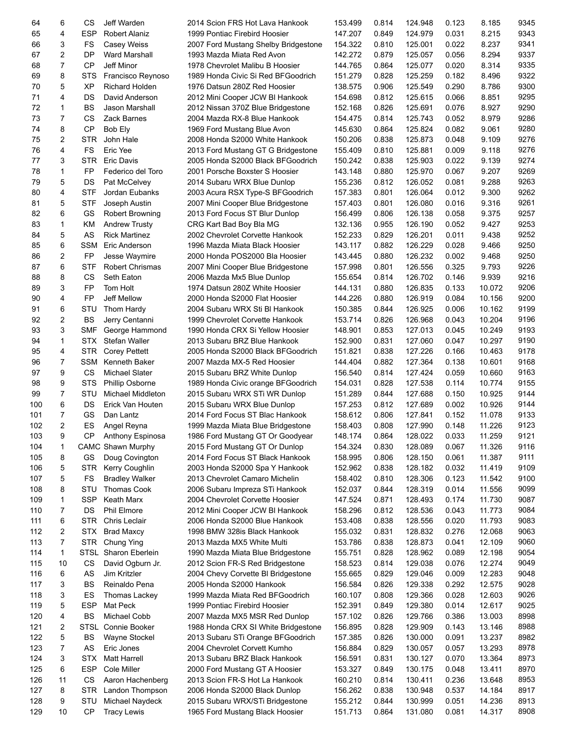| 64  | 6              | СS          | Jeff Warden              | 2014 Scion FRS Hot Lava Hankook      | 153.499 | 0.814 | 124.948 | 0.123 | 8.185  | 9345 |
|-----|----------------|-------------|--------------------------|--------------------------------------|---------|-------|---------|-------|--------|------|
| 65  | 4              | <b>ESP</b>  | <b>Robert Alaniz</b>     | 1999 Pontiac Firebird Hoosier        | 147.207 | 0.849 | 124.979 | 0.031 | 8.215  | 9343 |
| 66  | 3              | FS          | Casey Weiss              | 2007 Ford Mustang Shelby Bridgestone | 154.322 | 0.810 | 125.001 | 0.022 | 8.237  | 9341 |
| 67  | $\overline{2}$ | DP          | Ward Marshall            | 1993 Mazda Miata Red Avon            | 142.272 | 0.879 | 125.057 | 0.056 | 8.294  | 9337 |
| 68  | 7              | <b>CP</b>   | Jeff Minor               | 1978 Chevrolet Malibu B Hoosier      | 144.765 | 0.864 | 125.077 | 0.020 | 8.314  | 9335 |
| 69  | 8              | <b>STS</b>  | Francisco Reynoso        | 1989 Honda Civic Si Red BFGoodrich   | 151.279 | 0.828 | 125.259 | 0.182 | 8.496  | 9322 |
| 70  | 5              | ХP          | <b>Richard Holden</b>    |                                      | 138.575 | 0.906 | 125.549 | 0.290 | 8.786  | 9300 |
|     |                |             |                          | 1976 Datsun 280Z Red Hoosier         |         |       |         |       |        |      |
| 71  | 4              | DS          | David Anderson           | 2012 Mini Cooper JCW BI Hankook      | 154.698 | 0.812 | 125.615 | 0.066 | 8.851  | 9295 |
| 72  | 1              | BS          | Jason Marshall           | 2012 Nissan 370Z Blue Bridgestone    | 152.168 | 0.826 | 125.691 | 0.076 | 8.927  | 9290 |
| 73  | 7              | CS          | <b>Zack Barnes</b>       | 2004 Mazda RX-8 Blue Hankook         | 154.475 | 0.814 | 125.743 | 0.052 | 8.979  | 9286 |
| 74  | 8              | <b>CP</b>   | Bob Ely                  | 1969 Ford Mustang Blue Avon          | 145.630 | 0.864 | 125.824 | 0.082 | 9.061  | 9280 |
| 75  | 2              | <b>STR</b>  | John Hale                | 2008 Honda S2000 White Hankook       | 150.206 | 0.838 | 125.873 | 0.048 | 9.109  | 9276 |
| 76  | 4              | <b>FS</b>   | Eric Yee                 | 2013 Ford Mustang GT G Bridgestone   | 155.409 | 0.810 | 125.881 | 0.009 | 9.118  | 9276 |
| 77  | 3              | STR         | <b>Eric Davis</b>        | 2005 Honda S2000 Black BFGoodrich    | 150.242 | 0.838 | 125.903 | 0.022 | 9.139  | 9274 |
| 78  | 1              | FP          | Federico del Toro        | 2001 Porsche Boxster S Hoosier       | 143.148 | 0.880 | 125.970 | 0.067 | 9.207  | 9269 |
| 79  | 5              | DS          | Pat McCelvey             | 2014 Subaru WRX Blue Dunlop          | 155.236 | 0.812 | 126.052 | 0.081 | 9.288  | 9263 |
| 80  | 4              | <b>STF</b>  | Jordan Eubanks           | 2003 Acura RSX Type-S BFGoodrich     | 157.383 | 0.801 | 126.064 | 0.012 | 9.300  | 9262 |
| 81  | 5              | <b>STF</b>  | Joseph Austin            | 2007 Mini Cooper Blue Bridgestone    | 157.403 | 0.801 | 126.080 | 0.016 | 9.316  | 9261 |
| 82  | 6              | GS          | Robert Browning          | 2013 Ford Focus ST Blur Dunlop       | 156.499 | 0.806 | 126.138 | 0.058 | 9.375  | 9257 |
| 83  | 1              | KM          | <b>Andrew Trusty</b>     |                                      |         | 0.955 | 126.190 | 0.052 | 9.427  | 9253 |
|     |                |             |                          | CRG Kart Bad Boy Bla MG              | 132.136 |       |         |       |        |      |
| 84  | 5              | AS          | <b>Rick Martinez</b>     | 2002 Chevrolet Corvette Hankook      | 152.233 | 0.829 | 126.201 | 0.011 | 9.438  | 9252 |
| 85  | 6              | SSM         | Eric Anderson            | 1996 Mazda Miata Black Hoosier       | 143.117 | 0.882 | 126.229 | 0.028 | 9.466  | 9250 |
| 86  | 2              | <b>FP</b>   | Jesse Waymire            | 2000 Honda POS2000 Bla Hoosier       | 143.445 | 0.880 | 126.232 | 0.002 | 9.468  | 9250 |
| 87  | 6              | STF         | Robert Chrismas          | 2007 Mini Cooper Blue Bridgestone    | 157.998 | 0.801 | 126.556 | 0.325 | 9.793  | 9226 |
| 88  | 8              | СS          | Seth Eaton               | 2006 Mazda Mx5 Blue Dunlop           | 155.654 | 0.814 | 126.702 | 0.146 | 9.939  | 9216 |
| 89  | 3              | <b>FP</b>   | Tom Holt                 | 1974 Datsun 280Z White Hoosier       | 144.131 | 0.880 | 126.835 | 0.133 | 10.072 | 9206 |
| 90  | 4              | <b>FP</b>   | Jeff Mellow              | 2000 Honda S2000 Flat Hoosier        | 144.226 | 0.880 | 126.919 | 0.084 | 10.156 | 9200 |
| 91  | 6              | STU         | Thom Hardy               | 2004 Subaru WRX Sti BI Hankook       | 150.385 | 0.844 | 126.925 | 0.006 | 10.162 | 9199 |
| 92  | 2              | <b>BS</b>   | Jerry Centanni           | 1999 Chevrolet Corvette Hankook      | 153.714 | 0.826 | 126.968 | 0.043 | 10.204 | 9196 |
| 93  | 3              | <b>SMF</b>  | George Hammond           | 1990 Honda CRX Si Yellow Hoosier     | 148.901 | 0.853 | 127.013 | 0.045 | 10.249 | 9193 |
| 94  | 1              | STX         | Stefan Waller            | 2013 Subaru BRZ Blue Hankook         | 152.900 | 0.831 | 127.060 | 0.047 | 10.297 | 9190 |
| 95  | 4              | <b>STR</b>  | <b>Corey Pettett</b>     | 2005 Honda S2000 Black BFGoodrich    | 151.821 | 0.838 | 127.226 | 0.166 | 10.463 | 9178 |
| 96  | 7              | SSM         | Kenneth Baker            | 2007 Mazda MX-5 Red Hoosier          | 144.404 | 0.882 | 127.364 | 0.138 | 10.601 | 9168 |
| 97  |                |             |                          |                                      |         |       |         |       |        | 9163 |
|     | 9              | <b>CS</b>   | Michael Slater           | 2015 Subaru BRZ White Dunlop         | 156.540 | 0.814 | 127.424 | 0.059 | 10.660 |      |
| 98  | 9              | <b>STS</b>  | <b>Phillip Osborne</b>   | 1989 Honda Civic orange BFGoodrich   | 154.031 | 0.828 | 127.538 | 0.114 | 10.774 | 9155 |
| 99  | 7              | STU         | <b>Michael Middleton</b> | 2015 Subaru WRX STi WR Dunlop        | 151.289 | 0.844 | 127.688 | 0.150 | 10.925 | 9144 |
| 100 | 6              | DS          | Erick Van Houten         | 2015 Subaru WRX Blue Dunlop          | 157.253 | 0.812 | 127.689 | 0.002 | 10.926 | 9144 |
| 101 | $\overline{7}$ | GS          | Dan Lantz                | 2014 Ford Focus ST Blac Hankook      | 158.612 | 0.806 | 127.841 | 0.152 | 11.078 | 9133 |
| 102 | 2              | ES          | Angel Reyna              | 1999 Mazda Miata Blue Bridgestone    | 158.403 | 0.808 | 127.990 | 0.148 | 11.226 | 9123 |
| 103 | 9              |             | CP Anthony Espinosa      | 1986 Ford Mustang GT Or Goodyear     | 148.174 | 0.864 | 128.022 | 0.033 | 11.259 | 9121 |
| 104 | 1              |             | CAMC Shawn Murphy        | 2015 Ford Mustang GT Or Dunlop       | 154.324 | 0.830 | 128.089 | 0.067 | 11.326 | 9116 |
| 105 | 8              | GS          | Doug Covington           | 2014 Ford Focus ST Black Hankook     | 158.995 | 0.806 | 128.150 | 0.061 | 11.387 | 9111 |
| 106 | 5              | <b>STR</b>  | Kerry Coughlin           | 2003 Honda S2000 Spa Y Hankook       | 152.962 | 0.838 | 128.182 | 0.032 | 11.419 | 9109 |
| 107 | 5              | FS          | <b>Bradley Walker</b>    | 2013 Chevrolet Camaro Michelin       | 158.402 | 0.810 | 128.306 | 0.123 | 11.542 | 9100 |
| 108 | 8              | STU         | <b>Thomas Cook</b>       | 2006 Subaru Impreza STi Hankook      | 152.037 | 0.844 | 128.319 | 0.014 | 11.556 | 9099 |
| 109 | 1              | <b>SSP</b>  | Keath Marx               | 2004 Chevrolet Corvette Hoosier      | 147.524 | 0.871 | 128.493 | 0.174 | 11.730 | 9087 |
| 110 | 7              | DS          | Phil Elmore              | 2012 Mini Cooper JCW BI Hankook      | 158.296 | 0.812 | 128.536 | 0.043 | 11.773 | 9084 |
| 111 | 6              | <b>STR</b>  | Chris Leclair            | 2006 Honda S2000 Blue Hankook        | 153.408 | 0.838 | 128.556 | 0.020 | 11.793 | 9083 |
|     | 2              |             |                          |                                      |         |       |         |       |        |      |
| 112 |                | <b>STX</b>  | <b>Brad Maxcy</b>        | 1998 BMW 328is Black Hankook         | 155.032 | 0.831 | 128.832 | 0.276 | 12.068 | 9063 |
| 113 | $\overline{7}$ | <b>STR</b>  | Chung Ying               | 2013 Mazda MX5 White Multi           | 153.786 | 0.838 | 128.873 | 0.041 | 12.109 | 9060 |
| 114 | $\mathbf{1}$   |             | STSL Sharon Eberlein     | 1990 Mazda Miata Blue Bridgestone    | 155.751 | 0.828 | 128.962 | 0.089 | 12.198 | 9054 |
| 115 | 10             | CS          | David Ogburn Jr.         | 2012 Scion FR-S Red Bridgestone      | 158.523 | 0.814 | 129.038 | 0.076 | 12.274 | 9049 |
| 116 | 6              | AS          | Jim Kritzler             | 2004 Chevy Corvette BI Bridgestone   | 155.665 | 0.829 | 129.046 | 0.009 | 12.283 | 9048 |
| 117 | 3              | <b>BS</b>   | Reinaldo Pena            | 2005 Honda S2000 Hankook             | 156.584 | 0.826 | 129.338 | 0.292 | 12.575 | 9028 |
| 118 | 3              | ES          | Thomas Lackey            | 1999 Mazda Miata Red BFGoodrich      | 160.107 | 0.808 | 129.366 | 0.028 | 12.603 | 9026 |
| 119 | 5              | ESP         | Mat Peck                 | 1999 Pontiac Firebird Hoosier        | 152.391 | 0.849 | 129.380 | 0.014 | 12.617 | 9025 |
| 120 | 4              | <b>BS</b>   | Michael Cobb             | 2007 Mazda MX5 MSR Red Dunlop        | 157.102 | 0.826 | 129.766 | 0.386 | 13.003 | 8998 |
| 121 | 2              | <b>STSL</b> | Connie Booker            | 1988 Honda CRX SI White Bridgestone  | 156.895 | 0.828 | 129.909 | 0.143 | 13.146 | 8988 |
| 122 | 5              | <b>BS</b>   | <b>Wayne Stockel</b>     | 2013 Subaru STi Orange BFGoodrich    | 157.385 | 0.826 | 130.000 | 0.091 | 13.237 | 8982 |
| 123 | 7              | AS          | Eric Jones               | 2004 Chevrolet Corvett Kumho         | 156.884 | 0.829 | 130.057 | 0.057 | 13.293 | 8978 |
| 124 | 3              | <b>STX</b>  | <b>Matt Harrell</b>      | 2013 Subaru BRZ Black Hankook        | 156.591 | 0.831 | 130.127 |       | 13.364 | 8973 |
|     |                |             |                          |                                      |         |       |         | 0.070 |        |      |
| 125 | 6              | <b>ESP</b>  | Cole Miller              | 2000 Ford Mustang GT A Hoosier       | 153.327 | 0.849 | 130.175 | 0.048 | 13.411 | 8970 |
| 126 | 11             | <b>CS</b>   | Aaron Hachenberg         | 2013 Scion FR-S Hot La Hankook       | 160.210 | 0.814 | 130.411 | 0.236 | 13.648 | 8953 |
| 127 | 8              | <b>STR</b>  | Landon Thompson          | 2006 Honda S2000 Black Dunlop        | 156.262 | 0.838 | 130.948 | 0.537 | 14.184 | 8917 |
| 128 | 9              | STU         | Michael Naydeck          | 2015 Subaru WRX/STi Bridgestone      | 155.212 | 0.844 | 130.999 | 0.051 | 14.236 | 8913 |
| 129 | 10             | <b>CP</b>   | <b>Tracy Lewis</b>       | 1965 Ford Mustang Black Hoosier      | 151.713 | 0.864 | 131.080 | 0.081 | 14.317 | 8908 |